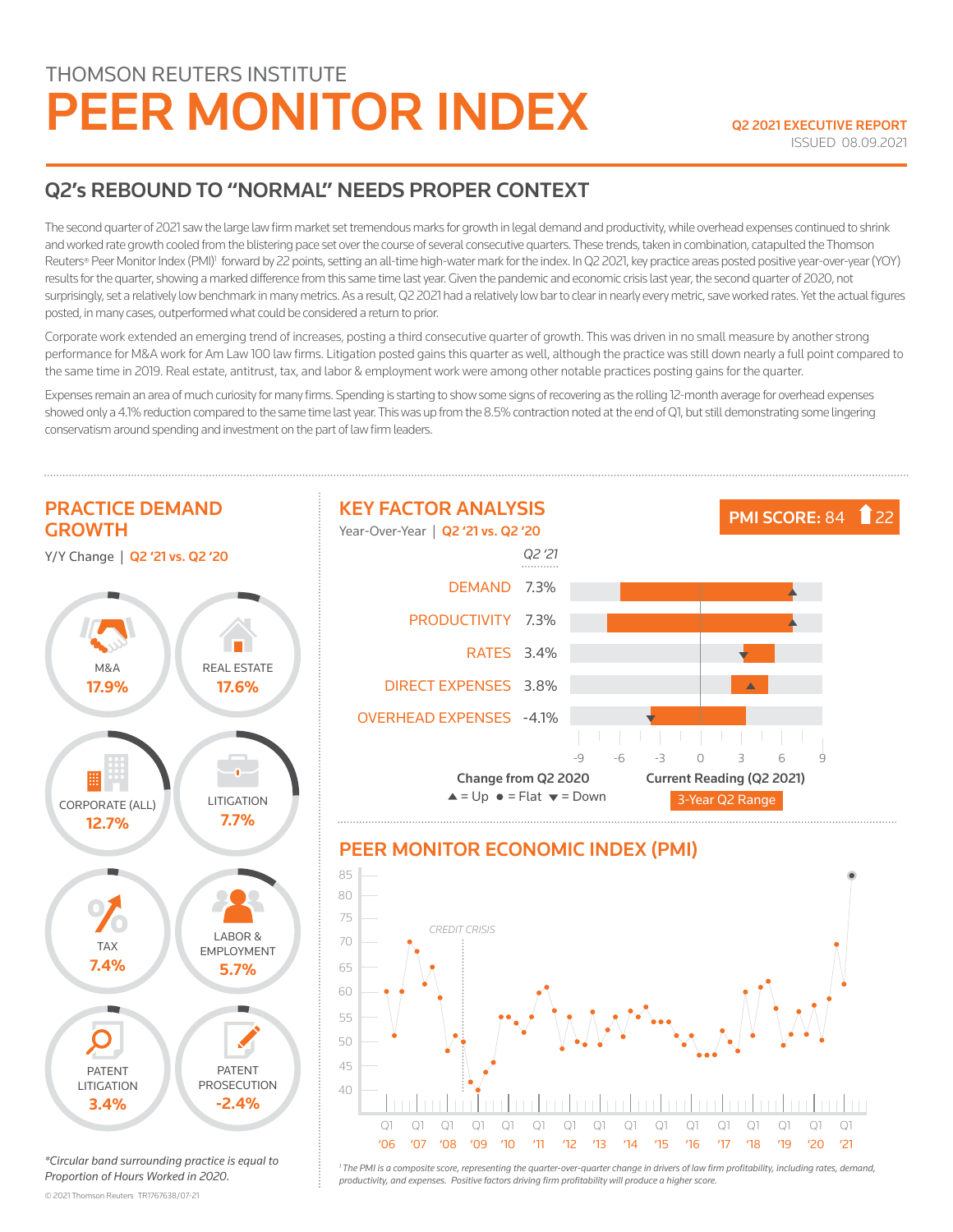# THOMSON REUTERS INSTITUTE PEER MONITOR INDEX Q2 2021 EXECUTIVE REPORT

## Q2's REBOUND TO "NORMAL" NEEDS PROPER CONTEXT

The second quarter of 2021 saw the large law firm market set tremendous marks for growth in legal demand and productivity, while overhead expenses continued to shrink and worked rate growth cooled from the blistering pace set over the course of several consecutive quarters. These trends, taken in combination, catapulted the Thomson Reuters® Peer Monitor Index (PMI)<sup>1</sup> forward by 22 points, setting an all-time high-water mark for the index. In Q2 2021, key practice areas posted positive year-over-year (YOY) results for the quarter, showing a marked difference from this same time last year. Given the pandemic and economic crisis last year, the second quarter of 2020, not surprisingly, set a relatively low benchmark in many metrics. As a result, Q2 2021 had a relatively low bar to clear in nearly every metric, save worked rates. Yet the actual figures posted, in many cases, outperformed what could be considered a return to prior.

Corporate work extended an emerging trend of increases, posting a third consecutive quarter of growth. This was driven in no small measure by another strong performance for M&A work for Am Law 100 law firms. Litigation posted gains this quarter as well, although the practice was still down nearly a full point compared to the same time in 2019. Real estate, antitrust, tax, and labor & employment work were among other notable practices posting gains for the quarter.

Expenses remain an area of much curiosity for many firms. Spending is starting to show some signs of recovering as the rolling 12-month average for overhead expenses showed only a 4.1% reduction compared to the same time last year. This was up from the 8.5% contraction noted at the end of Q1, but still demonstrating some lingering conservatism around spending and investment on the part of law firm leaders.



*\*Circular band surrounding practice is equal to Proportion of Hours Worked in 2020.*

© 2021 Thomson Reuters  TR1767638/07-21

*1 The PMI is a composite score, representing the quarter-over-quarter change in drivers of law firm profitability, including rates, demand, productivity, and expenses. Positive factors driving firm profitability will produce a higher score.*